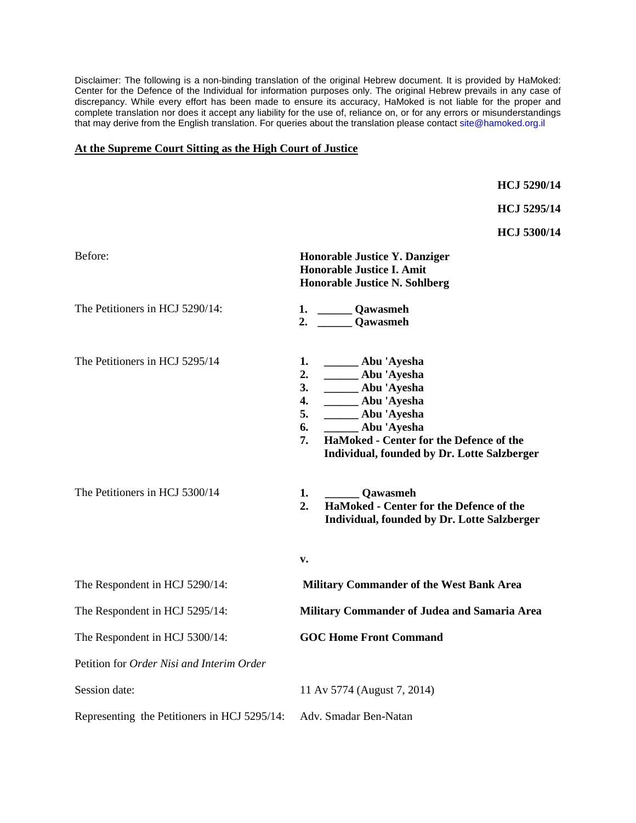Disclaimer: The following is a non-binding translation of the original Hebrew document. It is provided by HaMoked: Center for the Defence of the Individual for information purposes only. The original Hebrew prevails in any case of discrepancy. While every effort has been made to ensure its accuracy, HaMoked is not liable for the proper and complete translation nor does it accept any liability for the use of, reliance on, or for any errors or misunderstandings that may derive from the English translation. For queries about the translation please contact site@hamoked.org.il

## **At the Supreme Court Sitting as the High Court of Justice**

**HCJ 5290/14**

**HCJ 5295/14**

**HCJ 5300/14**

| Before:                                      | Honorable Justice Y. Danziger<br><b>Honorable Justice I. Amit</b><br><b>Honorable Justice N. Sohlberg</b>                                                                                                                                             |
|----------------------------------------------|-------------------------------------------------------------------------------------------------------------------------------------------------------------------------------------------------------------------------------------------------------|
| The Petitioners in HCJ 5290/14:              | 1. Qawasmeh<br>2. Qawasmeh                                                                                                                                                                                                                            |
| The Petitioners in HCJ 5295/14               | 1. ______ Abu 'Ayesha<br>_____ Abu 'Ayesha<br>2.<br>3. _____ Abu 'Ayesha<br>_____ Abu 'Ayesha<br>4.<br>_______ Abu 'Ayesha<br>5.<br>Abu 'Ayesha<br>6.<br>HaMoked - Center for the Defence of the<br>7.<br>Individual, founded by Dr. Lotte Salzberger |
| The Petitioners in HCJ 5300/14               | Qawasmeh<br>1.<br>2.<br>HaMoked - Center for the Defence of the<br>Individual, founded by Dr. Lotte Salzberger                                                                                                                                        |
|                                              | v.                                                                                                                                                                                                                                                    |
| The Respondent in HCJ 5290/14:               | <b>Military Commander of the West Bank Area</b>                                                                                                                                                                                                       |
| The Respondent in HCJ 5295/14:               | Military Commander of Judea and Samaria Area                                                                                                                                                                                                          |
| The Respondent in HCJ 5300/14:               | <b>GOC Home Front Command</b>                                                                                                                                                                                                                         |
| Petition for Order Nisi and Interim Order    |                                                                                                                                                                                                                                                       |
| Session date:                                | 11 Av 5774 (August 7, 2014)                                                                                                                                                                                                                           |
| Representing the Petitioners in HCJ 5295/14: | Adv. Smadar Ben-Natan                                                                                                                                                                                                                                 |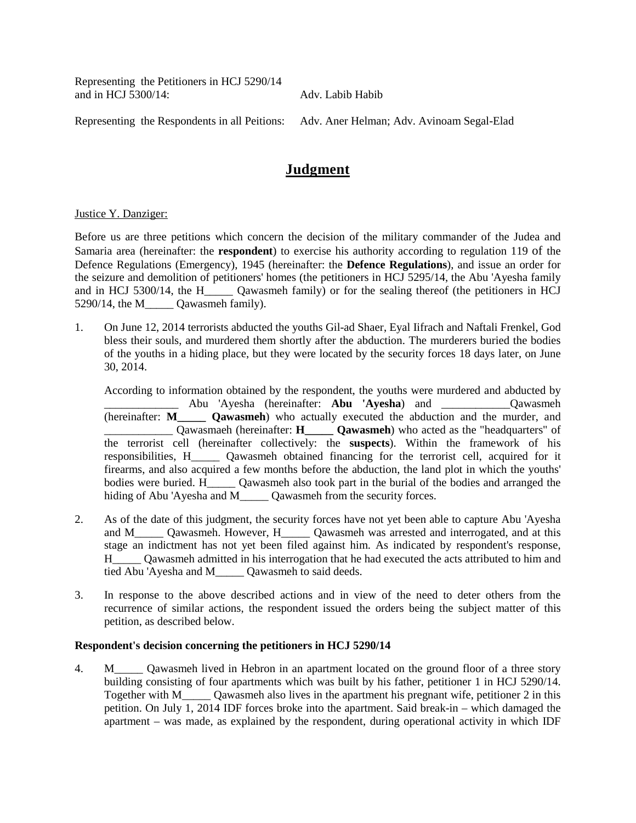Representing the Petitioners in HCJ 5290/14 and in HCJ 5300/14: Adv. Labib Habib

Representing the Respondents in all Peitions: Adv. Aner Helman; Adv. Avinoam Segal-Elad

# **Judgment**

### Justice Y. Danziger:

Before us are three petitions which concern the decision of the military commander of the Judea and Samaria area (hereinafter: the **respondent**) to exercise his authority according to regulation 119 of the Defence Regulations (Emergency), 1945 (hereinafter: the **Defence Regulations**), and issue an order for the seizure and demolition of petitioners' homes (the petitioners in HCJ 5295/14, the Abu 'Ayesha family and in HCJ 5300/14, the H\_\_\_\_\_ Qawasmeh family) or for the sealing thereof (the petitioners in HCJ 5290/14, the M \_\_\_\_ Qawasmeh family).

1. On June 12, 2014 terrorists abducted the youths Gil-ad Shaer, Eyal Iifrach and Naftali Frenkel, God bless their souls, and murdered them shortly after the abduction. The murderers buried the bodies of the youths in a hiding place, but they were located by the security forces 18 days later, on June 30, 2014.

According to information obtained by the respondent, the youths were murdered and abducted by \_\_\_\_\_\_\_\_\_\_\_\_\_ Abu 'Ayesha (hereinafter: **Abu 'Ayesha**) and \_\_\_\_\_\_\_\_\_\_\_\_Qawasmeh (hereinafter: **M\_\_\_\_\_ Qawasmeh**) who actually executed the abduction and the murder, and \_\_\_\_\_\_\_\_\_\_\_\_ Qawasmaeh (hereinafter: **H\_\_\_\_\_ Qawasmeh**) who acted as the "headquarters" of the terrorist cell (hereinafter collectively: the **suspects**). Within the framework of his responsibilities, H\_\_\_\_\_ Qawasmeh obtained financing for the terrorist cell, acquired for it firearms, and also acquired a few months before the abduction, the land plot in which the youths' bodies were buried. H\_\_\_\_\_ Qawasmeh also took part in the burial of the bodies and arranged the hiding of Abu 'Ayesha and M\_\_\_\_\_ Qawasmeh from the security forces.

- 2. As of the date of this judgment, the security forces have not yet been able to capture Abu 'Ayesha and M\_\_\_\_\_ Qawasmeh. However, H\_\_\_\_\_ Qawasmeh was arrested and interrogated, and at this stage an indictment has not yet been filed against him. As indicated by respondent's response, H\_\_\_\_\_ Qawasmeh admitted in his interrogation that he had executed the acts attributed to him and tied Abu 'Ayesha and M\_\_\_\_\_ Qawasmeh to said deeds.
- 3. In response to the above described actions and in view of the need to deter others from the recurrence of similar actions, the respondent issued the orders being the subject matter of this petition, as described below.

### **Respondent's decision concerning the petitioners in HCJ 5290/14**

4. M\_\_\_\_\_ Qawasmeh lived in Hebron in an apartment located on the ground floor of a three story building consisting of four apartments which was built by his father, petitioner 1 in HCJ 5290/14. Together with M\_\_\_\_\_ Qawasmeh also lives in the apartment his pregnant wife, petitioner 2 in this petition. On July 1, 2014 IDF forces broke into the apartment. Said break-in – which damaged the apartment – was made, as explained by the respondent, during operational activity in which IDF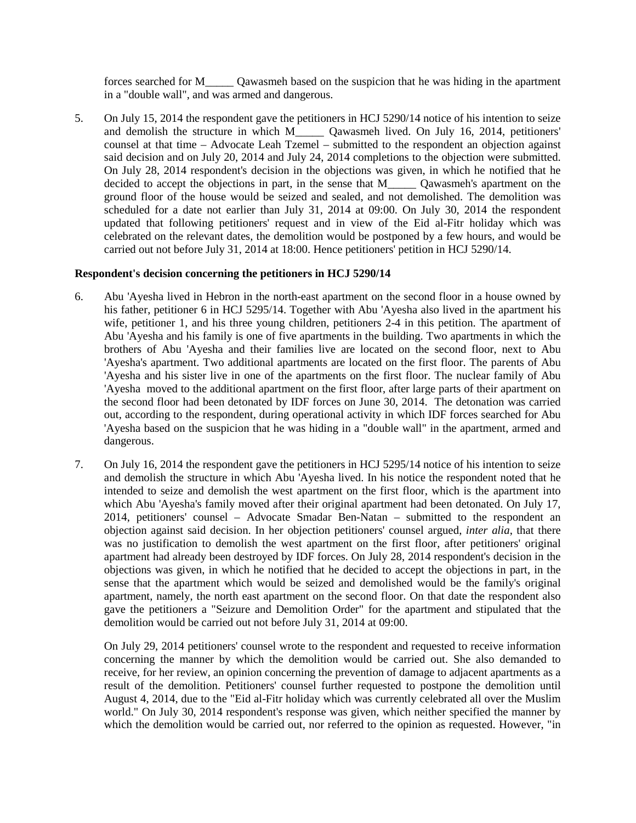forces searched for M\_\_\_\_\_ Qawasmeh based on the suspicion that he was hiding in the apartment in a "double wall", and was armed and dangerous.

5. On July 15, 2014 the respondent gave the petitioners in HCJ 5290/14 notice of his intention to seize and demolish the structure in which M\_\_\_\_\_ Qawasmeh lived. On July 16, 2014, petitioners' counsel at that time – Advocate Leah Tzemel – submitted to the respondent an objection against said decision and on July 20, 2014 and July 24, 2014 completions to the objection were submitted. On July 28, 2014 respondent's decision in the objections was given, in which he notified that he decided to accept the objections in part, in the sense that M\_\_\_\_\_\_ Qawasmeh's apartment on the ground floor of the house would be seized and sealed, and not demolished. The demolition was scheduled for a date not earlier than July 31, 2014 at 09:00. On July 30, 2014 the respondent updated that following petitioners' request and in view of the Eid al-Fitr holiday which was celebrated on the relevant dates, the demolition would be postponed by a few hours, and would be carried out not before July 31, 2014 at 18:00. Hence petitioners' petition in HCJ 5290/14.

### **Respondent's decision concerning the petitioners in HCJ 5290/14**

- 6. Abu 'Ayesha lived in Hebron in the north-east apartment on the second floor in a house owned by his father, petitioner 6 in HCJ 5295/14. Together with Abu 'Ayesha also lived in the apartment his wife, petitioner 1, and his three young children, petitioners 2-4 in this petition. The apartment of Abu 'Ayesha and his family is one of five apartments in the building. Two apartments in which the brothers of Abu 'Ayesha and their families live are located on the second floor, next to Abu 'Ayesha's apartment. Two additional apartments are located on the first floor. The parents of Abu 'Ayesha and his sister live in one of the apartments on the first floor. The nuclear family of Abu 'Ayesha moved to the additional apartment on the first floor, after large parts of their apartment on the second floor had been detonated by IDF forces on June 30, 2014. The detonation was carried out, according to the respondent, during operational activity in which IDF forces searched for Abu 'Ayesha based on the suspicion that he was hiding in a "double wall" in the apartment, armed and dangerous.
- 7. On July 16, 2014 the respondent gave the petitioners in HCJ 5295/14 notice of his intention to seize and demolish the structure in which Abu 'Ayesha lived. In his notice the respondent noted that he intended to seize and demolish the west apartment on the first floor, which is the apartment into which Abu 'Ayesha's family moved after their original apartment had been detonated. On July 17, 2014, petitioners' counsel – Advocate Smadar Ben-Natan – submitted to the respondent an objection against said decision. In her objection petitioners' counsel argued, *inter alia*, that there was no justification to demolish the west apartment on the first floor, after petitioners' original apartment had already been destroyed by IDF forces. On July 28, 2014 respondent's decision in the objections was given, in which he notified that he decided to accept the objections in part, in the sense that the apartment which would be seized and demolished would be the family's original apartment, namely, the north east apartment on the second floor. On that date the respondent also gave the petitioners a "Seizure and Demolition Order" for the apartment and stipulated that the demolition would be carried out not before July 31, 2014 at 09:00.

On July 29, 2014 petitioners' counsel wrote to the respondent and requested to receive information concerning the manner by which the demolition would be carried out. She also demanded to receive, for her review, an opinion concerning the prevention of damage to adjacent apartments as a result of the demolition. Petitioners' counsel further requested to postpone the demolition until August 4, 2014, due to the "Eid al-Fitr holiday which was currently celebrated all over the Muslim world." On July 30, 2014 respondent's response was given, which neither specified the manner by which the demolition would be carried out, nor referred to the opinion as requested. However, "in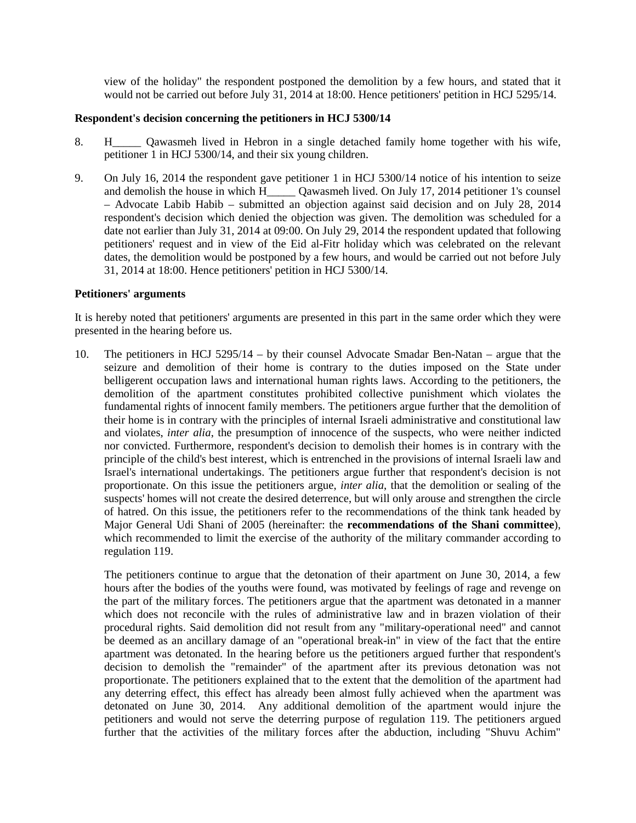view of the holiday" the respondent postponed the demolition by a few hours, and stated that it would not be carried out before July 31, 2014 at 18:00. Hence petitioners' petition in HCJ 5295/14.

### **Respondent's decision concerning the petitioners in HCJ 5300/14**

- 8. H\_\_\_\_\_ Qawasmeh lived in Hebron in a single detached family home together with his wife, petitioner 1 in HCJ 5300/14, and their six young children.
- 9. On July 16, 2014 the respondent gave petitioner 1 in HCJ 5300/14 notice of his intention to seize and demolish the house in which H\_\_\_\_\_ Qawasmeh lived. On July 17, 2014 petitioner 1's counsel – Advocate Labib Habib – submitted an objection against said decision and on July 28, 2014 respondent's decision which denied the objection was given. The demolition was scheduled for a date not earlier than July 31, 2014 at 09:00. On July 29, 2014 the respondent updated that following petitioners' request and in view of the Eid al-Fitr holiday which was celebrated on the relevant dates, the demolition would be postponed by a few hours, and would be carried out not before July 31, 2014 at 18:00. Hence petitioners' petition in HCJ 5300/14.

### **Petitioners' arguments**

It is hereby noted that petitioners' arguments are presented in this part in the same order which they were presented in the hearing before us.

10. The petitioners in HCJ 5295/14 – by their counsel Advocate Smadar Ben-Natan – argue that the seizure and demolition of their home is contrary to the duties imposed on the State under belligerent occupation laws and international human rights laws. According to the petitioners, the demolition of the apartment constitutes prohibited collective punishment which violates the fundamental rights of innocent family members. The petitioners argue further that the demolition of their home is in contrary with the principles of internal Israeli administrative and constitutional law and violates, *inter alia*, the presumption of innocence of the suspects, who were neither indicted nor convicted. Furthermore, respondent's decision to demolish their homes is in contrary with the principle of the child's best interest, which is entrenched in the provisions of internal Israeli law and Israel's international undertakings. The petitioners argue further that respondent's decision is not proportionate. On this issue the petitioners argue, *inter alia*, that the demolition or sealing of the suspects' homes will not create the desired deterrence, but will only arouse and strengthen the circle of hatred. On this issue, the petitioners refer to the recommendations of the think tank headed by Major General Udi Shani of 2005 (hereinafter: the **recommendations of the Shani committee**), which recommended to limit the exercise of the authority of the military commander according to regulation 119.

The petitioners continue to argue that the detonation of their apartment on June 30, 2014, a few hours after the bodies of the youths were found, was motivated by feelings of rage and revenge on the part of the military forces. The petitioners argue that the apartment was detonated in a manner which does not reconcile with the rules of administrative law and in brazen violation of their procedural rights. Said demolition did not result from any "military-operational need" and cannot be deemed as an ancillary damage of an "operational break-in" in view of the fact that the entire apartment was detonated. In the hearing before us the petitioners argued further that respondent's decision to demolish the "remainder" of the apartment after its previous detonation was not proportionate. The petitioners explained that to the extent that the demolition of the apartment had any deterring effect, this effect has already been almost fully achieved when the apartment was detonated on June 30, 2014. Any additional demolition of the apartment would injure the petitioners and would not serve the deterring purpose of regulation 119. The petitioners argued further that the activities of the military forces after the abduction, including "Shuvu Achim"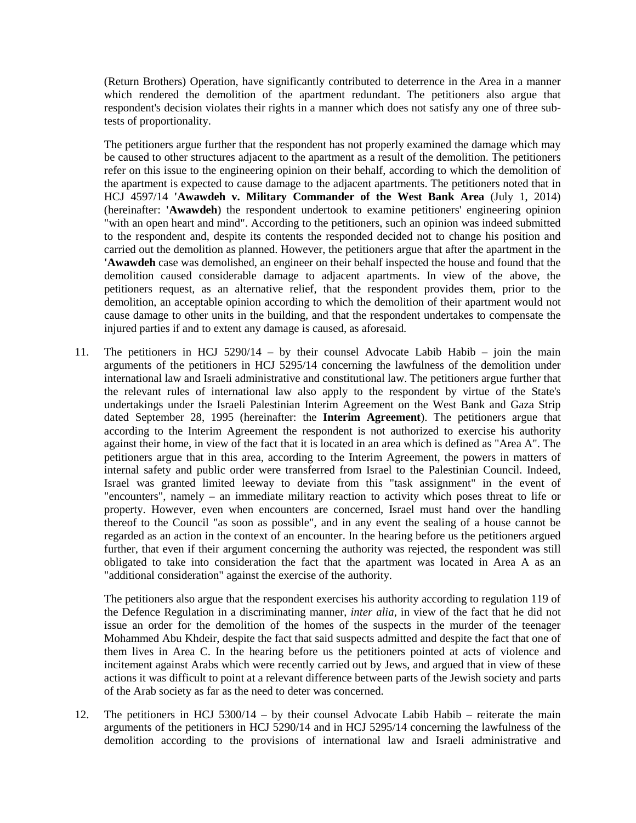(Return Brothers) Operation, have significantly contributed to deterrence in the Area in a manner which rendered the demolition of the apartment redundant. The petitioners also argue that respondent's decision violates their rights in a manner which does not satisfy any one of three subtests of proportionality.

The petitioners argue further that the respondent has not properly examined the damage which may be caused to other structures adjacent to the apartment as a result of the demolition. The petitioners refer on this issue to the engineering opinion on their behalf, according to which the demolition of the apartment is expected to cause damage to the adjacent apartments. The petitioners noted that in HCJ 4597/14 **'Awawdeh v. Military Commander of the West Bank Area** (July 1, 2014) (hereinafter: **'Awawdeh**) the respondent undertook to examine petitioners' engineering opinion "with an open heart and mind". According to the petitioners, such an opinion was indeed submitted to the respondent and, despite its contents the responded decided not to change his position and carried out the demolition as planned. However, the petitioners argue that after the apartment in the **'Awawdeh** case was demolished, an engineer on their behalf inspected the house and found that the demolition caused considerable damage to adjacent apartments. In view of the above, the petitioners request, as an alternative relief, that the respondent provides them, prior to the demolition, an acceptable opinion according to which the demolition of their apartment would not cause damage to other units in the building, and that the respondent undertakes to compensate the injured parties if and to extent any damage is caused, as aforesaid.

11. The petitioners in HCJ 5290/14 – by their counsel Advocate Labib Habib – join the main arguments of the petitioners in HCJ 5295/14 concerning the lawfulness of the demolition under international law and Israeli administrative and constitutional law. The petitioners argue further that the relevant rules of international law also apply to the respondent by virtue of the State's undertakings under the Israeli Palestinian Interim Agreement on the West Bank and Gaza Strip dated September 28, 1995 (hereinafter: the **Interim Agreement**). The petitioners argue that according to the Interim Agreement the respondent is not authorized to exercise his authority against their home, in view of the fact that it is located in an area which is defined as "Area A". The petitioners argue that in this area, according to the Interim Agreement, the powers in matters of internal safety and public order were transferred from Israel to the Palestinian Council. Indeed, Israel was granted limited leeway to deviate from this "task assignment" in the event of "encounters", namely – an immediate military reaction to activity which poses threat to life or property. However, even when encounters are concerned, Israel must hand over the handling thereof to the Council "as soon as possible", and in any event the sealing of a house cannot be regarded as an action in the context of an encounter. In the hearing before us the petitioners argued further, that even if their argument concerning the authority was rejected, the respondent was still obligated to take into consideration the fact that the apartment was located in Area A as an "additional consideration" against the exercise of the authority.

The petitioners also argue that the respondent exercises his authority according to regulation 119 of the Defence Regulation in a discriminating manner, *inter alia*, in view of the fact that he did not issue an order for the demolition of the homes of the suspects in the murder of the teenager Mohammed Abu Khdeir, despite the fact that said suspects admitted and despite the fact that one of them lives in Area C. In the hearing before us the petitioners pointed at acts of violence and incitement against Arabs which were recently carried out by Jews, and argued that in view of these actions it was difficult to point at a relevant difference between parts of the Jewish society and parts of the Arab society as far as the need to deter was concerned.

12. The petitioners in HCJ 5300/14 – by their counsel Advocate Labib Habib – reiterate the main arguments of the petitioners in HCJ 5290/14 and in HCJ 5295/14 concerning the lawfulness of the demolition according to the provisions of international law and Israeli administrative and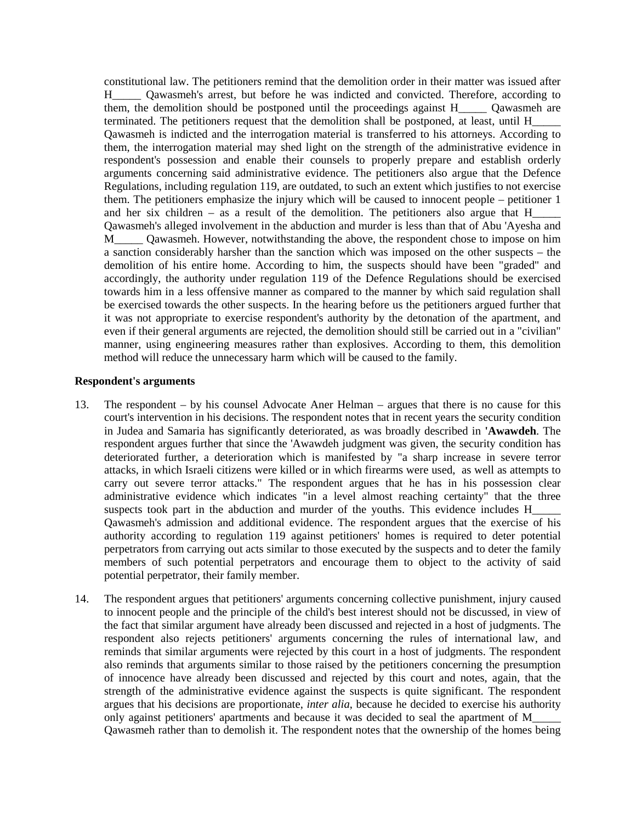constitutional law. The petitioners remind that the demolition order in their matter was issued after H\_\_\_\_\_ Qawasmeh's arrest, but before he was indicted and convicted. Therefore, according to them, the demolition should be postponed until the proceedings against H\_\_\_\_\_ Qawasmeh are terminated. The petitioners request that the demolition shall be postponed, at least, until H\_\_\_\_\_ Qawasmeh is indicted and the interrogation material is transferred to his attorneys. According to them, the interrogation material may shed light on the strength of the administrative evidence in respondent's possession and enable their counsels to properly prepare and establish orderly arguments concerning said administrative evidence. The petitioners also argue that the Defence Regulations, including regulation 119, are outdated, to such an extent which justifies to not exercise them. The petitioners emphasize the injury which will be caused to innocent people – petitioner 1 and her six children – as a result of the demolition. The petitioners also argue that H\_\_\_\_\_ Qawasmeh's alleged involvement in the abduction and murder is less than that of Abu 'Ayesha and M\_\_\_\_\_ Qawasmeh. However, notwithstanding the above, the respondent chose to impose on him a sanction considerably harsher than the sanction which was imposed on the other suspects – the demolition of his entire home. According to him, the suspects should have been "graded" and accordingly, the authority under regulation 119 of the Defence Regulations should be exercised towards him in a less offensive manner as compared to the manner by which said regulation shall be exercised towards the other suspects. In the hearing before us the petitioners argued further that it was not appropriate to exercise respondent's authority by the detonation of the apartment, and even if their general arguments are rejected, the demolition should still be carried out in a "civilian" manner, using engineering measures rather than explosives. According to them, this demolition method will reduce the unnecessary harm which will be caused to the family.

#### **Respondent's arguments**

- 13. The respondent by his counsel Advocate Aner Helman argues that there is no cause for this court's intervention in his decisions. The respondent notes that in recent years the security condition in Judea and Samaria has significantly deteriorated, as was broadly described in **'Awawdeh**. The respondent argues further that since the 'Awawdeh judgment was given, the security condition has deteriorated further, a deterioration which is manifested by "a sharp increase in severe terror attacks, in which Israeli citizens were killed or in which firearms were used, as well as attempts to carry out severe terror attacks." The respondent argues that he has in his possession clear administrative evidence which indicates "in a level almost reaching certainty" that the three suspects took part in the abduction and murder of the youths. This evidence includes H\_ Qawasmeh's admission and additional evidence. The respondent argues that the exercise of his authority according to regulation 119 against petitioners' homes is required to deter potential perpetrators from carrying out acts similar to those executed by the suspects and to deter the family members of such potential perpetrators and encourage them to object to the activity of said potential perpetrator, their family member.
- 14. The respondent argues that petitioners' arguments concerning collective punishment, injury caused to innocent people and the principle of the child's best interest should not be discussed, in view of the fact that similar argument have already been discussed and rejected in a host of judgments. The respondent also rejects petitioners' arguments concerning the rules of international law, and reminds that similar arguments were rejected by this court in a host of judgments. The respondent also reminds that arguments similar to those raised by the petitioners concerning the presumption of innocence have already been discussed and rejected by this court and notes, again, that the strength of the administrative evidence against the suspects is quite significant. The respondent argues that his decisions are proportionate, *inter alia*, because he decided to exercise his authority only against petitioners' apartments and because it was decided to seal the apartment of M\_\_\_\_\_ Qawasmeh rather than to demolish it. The respondent notes that the ownership of the homes being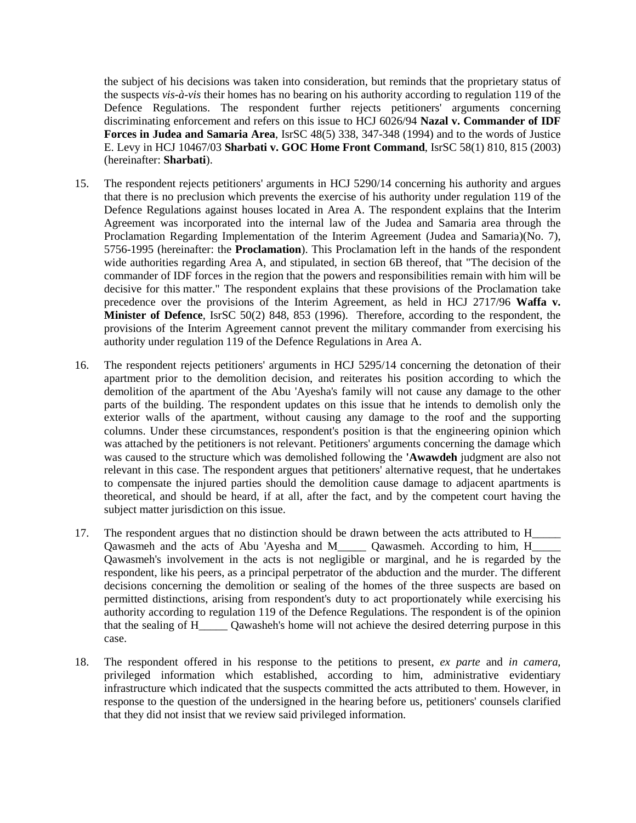the subject of his decisions was taken into consideration, but reminds that the proprietary status of the suspects *vis-à-vis* their homes has no bearing on his authority according to regulation 119 of the Defence Regulations. The respondent further rejects petitioners' arguments concerning discriminating enforcement and refers on this issue to HCJ 6026/94 **Nazal v. Commander of IDF Forces in Judea and Samaria Area**, IsrSC 48(5) 338, 347-348 (1994) and to the words of Justice E. Levy in HCJ 10467/03 **Sharbati v. GOC Home Front Command**, IsrSC 58(1) 810, 815 (2003) (hereinafter: **Sharbati**).

- 15. The respondent rejects petitioners' arguments in HCJ 5290/14 concerning his authority and argues that there is no preclusion which prevents the exercise of his authority under regulation 119 of the Defence Regulations against houses located in Area A. The respondent explains that the Interim Agreement was incorporated into the internal law of the Judea and Samaria area through the Proclamation Regarding Implementation of the Interim Agreement (Judea and Samaria)(No. 7), 5756-1995 (hereinafter: the **Proclamation**). This Proclamation left in the hands of the respondent wide authorities regarding Area A, and stipulated, in section 6B thereof, that "The decision of the commander of IDF forces in the region that the powers and responsibilities remain with him will be decisive for this matter." The respondent explains that these provisions of the Proclamation take precedence over the provisions of the Interim Agreement, as held in HCJ 2717/96 **Waffa v. Minister of Defence**, IsrSC 50(2) 848, 853 (1996). Therefore, according to the respondent, the provisions of the Interim Agreement cannot prevent the military commander from exercising his authority under regulation 119 of the Defence Regulations in Area A.
- 16. The respondent rejects petitioners' arguments in HCJ 5295/14 concerning the detonation of their apartment prior to the demolition decision, and reiterates his position according to which the demolition of the apartment of the Abu 'Ayesha's family will not cause any damage to the other parts of the building. The respondent updates on this issue that he intends to demolish only the exterior walls of the apartment, without causing any damage to the roof and the supporting columns. Under these circumstances, respondent's position is that the engineering opinion which was attached by the petitioners is not relevant. Petitioners' arguments concerning the damage which was caused to the structure which was demolished following the **'Awawdeh** judgment are also not relevant in this case. The respondent argues that petitioners' alternative request, that he undertakes to compensate the injured parties should the demolition cause damage to adjacent apartments is theoretical, and should be heard, if at all, after the fact, and by the competent court having the subject matter jurisdiction on this issue.
- 17. The respondent argues that no distinction should be drawn between the acts attributed to H\_\_\_\_\_ Qawasmeh and the acts of Abu 'Ayesha and M\_\_\_\_\_ Qawasmeh. According to him, H\_\_\_\_\_ Qawasmeh's involvement in the acts is not negligible or marginal, and he is regarded by the respondent, like his peers, as a principal perpetrator of the abduction and the murder. The different decisions concerning the demolition or sealing of the homes of the three suspects are based on permitted distinctions, arising from respondent's duty to act proportionately while exercising his authority according to regulation 119 of the Defence Regulations. The respondent is of the opinion that the sealing of H\_\_\_\_\_ Qawasheh's home will not achieve the desired deterring purpose in this case.
- 18. The respondent offered in his response to the petitions to present, *ex parte* and *in camera,* privileged information which established, according to him, administrative evidentiary infrastructure which indicated that the suspects committed the acts attributed to them. However, in response to the question of the undersigned in the hearing before us, petitioners' counsels clarified that they did not insist that we review said privileged information.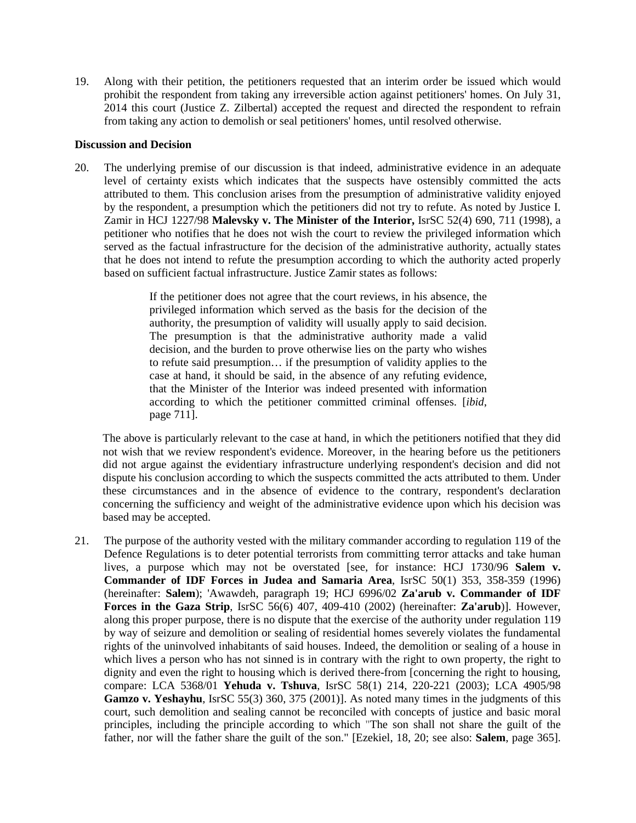19. Along with their petition, the petitioners requested that an interim order be issued which would prohibit the respondent from taking any irreversible action against petitioners' homes. On July 31, 2014 this court (Justice Z. Zilbertal) accepted the request and directed the respondent to refrain from taking any action to demolish or seal petitioners' homes, until resolved otherwise.

### **Discussion and Decision**

20. The underlying premise of our discussion is that indeed, administrative evidence in an adequate level of certainty exists which indicates that the suspects have ostensibly committed the acts attributed to them. This conclusion arises from the presumption of administrative validity enjoyed by the respondent, a presumption which the petitioners did not try to refute. As noted by Justice I. Zamir in HCJ 1227/98 **Malevsky v. The Minister of the Interior,** IsrSC 52(4) 690, 711 (1998), a petitioner who notifies that he does not wish the court to review the privileged information which served as the factual infrastructure for the decision of the administrative authority, actually states that he does not intend to refute the presumption according to which the authority acted properly based on sufficient factual infrastructure. Justice Zamir states as follows:

> If the petitioner does not agree that the court reviews, in his absence, the privileged information which served as the basis for the decision of the authority, the presumption of validity will usually apply to said decision. The presumption is that the administrative authority made a valid decision, and the burden to prove otherwise lies on the party who wishes to refute said presumption… if the presumption of validity applies to the case at hand, it should be said, in the absence of any refuting evidence, that the Minister of the Interior was indeed presented with information according to which the petitioner committed criminal offenses. [*ibid*, page 711].

 The above is particularly relevant to the case at hand, in which the petitioners notified that they did not wish that we review respondent's evidence. Moreover, in the hearing before us the petitioners did not argue against the evidentiary infrastructure underlying respondent's decision and did not dispute his conclusion according to which the suspects committed the acts attributed to them. Under these circumstances and in the absence of evidence to the contrary, respondent's declaration concerning the sufficiency and weight of the administrative evidence upon which his decision was based may be accepted.

21. The purpose of the authority vested with the military commander according to regulation 119 of the Defence Regulations is to deter potential terrorists from committing terror attacks and take human lives, a purpose which may not be overstated [see, for instance: HCJ 1730/96 **Salem v. Commander of IDF Forces in Judea and Samaria Area**, IsrSC 50(1) 353, 358-359 (1996) (hereinafter: **Salem**); 'Awawdeh, paragraph 19; HCJ 6996/02 **Za'arub v. Commander of IDF Forces in the Gaza Strip**, IsrSC 56(6) 407, 409-410 (2002) (hereinafter: **Za'arub**)]. However, along this proper purpose, there is no dispute that the exercise of the authority under regulation 119 by way of seizure and demolition or sealing of residential homes severely violates the fundamental rights of the uninvolved inhabitants of said houses. Indeed, the demolition or sealing of a house in which lives a person who has not sinned is in contrary with the right to own property, the right to dignity and even the right to housing which is derived there-from [concerning the right to housing, compare: LCA 5368/01 **Yehuda v. Tshuva**, IsrSC 58(1) 214, 220-221 (2003); LCA 4905/98 Gamzo v. Yeshayhu, IsrSC 55(3) 360, 375 (2001)]. As noted many times in the judgments of this court, such demolition and sealing cannot be reconciled with concepts of justice and basic moral principles, including the principle according to which "The son shall not share the guilt of the father, nor will the father share the guilt of the son." [Ezekiel, 18, 20; see also: **Salem**, page 365].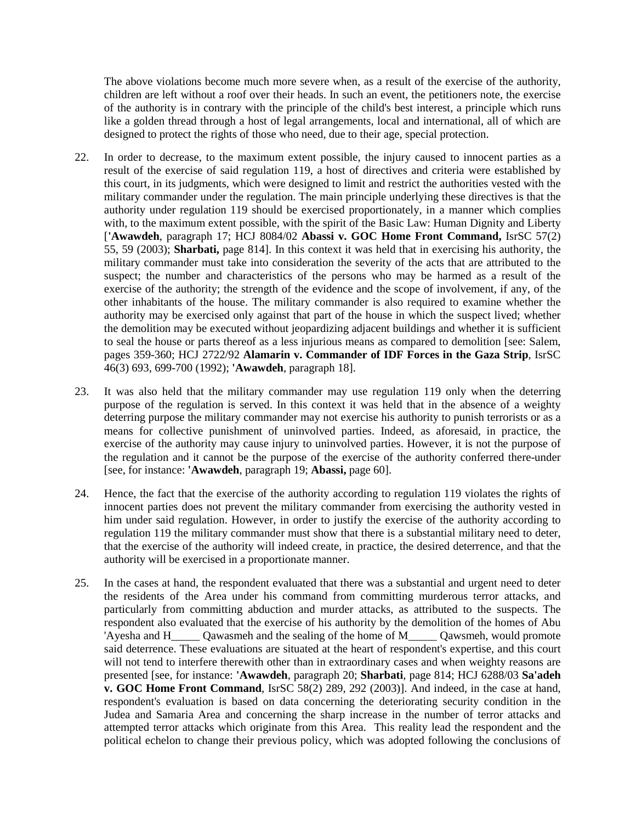The above violations become much more severe when, as a result of the exercise of the authority, children are left without a roof over their heads. In such an event, the petitioners note, the exercise of the authority is in contrary with the principle of the child's best interest, a principle which runs like a golden thread through a host of legal arrangements, local and international, all of which are designed to protect the rights of those who need, due to their age, special protection.

- 22. In order to decrease, to the maximum extent possible, the injury caused to innocent parties as a result of the exercise of said regulation 119, a host of directives and criteria were established by this court, in its judgments, which were designed to limit and restrict the authorities vested with the military commander under the regulation. The main principle underlying these directives is that the authority under regulation 119 should be exercised proportionately, in a manner which complies with, to the maximum extent possible, with the spirit of the Basic Law: Human Dignity and Liberty [**'Awawdeh**, paragraph 17; HCJ 8084/02 **Abassi v. GOC Home Front Command,** IsrSC 57(2) 55, 59 (2003); **Sharbati,** page 814]. In this context it was held that in exercising his authority, the military commander must take into consideration the severity of the acts that are attributed to the suspect; the number and characteristics of the persons who may be harmed as a result of the exercise of the authority; the strength of the evidence and the scope of involvement, if any, of the other inhabitants of the house. The military commander is also required to examine whether the authority may be exercised only against that part of the house in which the suspect lived; whether the demolition may be executed without jeopardizing adjacent buildings and whether it is sufficient to seal the house or parts thereof as a less injurious means as compared to demolition [see: Salem, pages 359-360; HCJ 2722/92 **Alamarin v. Commander of IDF Forces in the Gaza Strip**, IsrSC 46(3) 693, 699-700 (1992); **'Awawdeh**, paragraph 18].
- 23. It was also held that the military commander may use regulation 119 only when the deterring purpose of the regulation is served. In this context it was held that in the absence of a weighty deterring purpose the military commander may not exercise his authority to punish terrorists or as a means for collective punishment of uninvolved parties. Indeed, as aforesaid, in practice, the exercise of the authority may cause injury to uninvolved parties. However, it is not the purpose of the regulation and it cannot be the purpose of the exercise of the authority conferred there-under [see, for instance: **'Awawdeh**, paragraph 19; **Abassi,** page 60].
- 24. Hence, the fact that the exercise of the authority according to regulation 119 violates the rights of innocent parties does not prevent the military commander from exercising the authority vested in him under said regulation. However, in order to justify the exercise of the authority according to regulation 119 the military commander must show that there is a substantial military need to deter, that the exercise of the authority will indeed create, in practice, the desired deterrence, and that the authority will be exercised in a proportionate manner.
- 25. In the cases at hand, the respondent evaluated that there was a substantial and urgent need to deter the residents of the Area under his command from committing murderous terror attacks, and particularly from committing abduction and murder attacks, as attributed to the suspects. The respondent also evaluated that the exercise of his authority by the demolition of the homes of Abu 'Ayesha and H\_\_\_\_\_ Qawasmeh and the sealing of the home of M\_\_\_\_\_ Qawsmeh, would promote said deterrence. These evaluations are situated at the heart of respondent's expertise, and this court will not tend to interfere therewith other than in extraordinary cases and when weighty reasons are presented [see, for instance: **'Awawdeh**, paragraph 20; **Sharbati**, page 814; HCJ 6288/03 **Sa'adeh v. GOC Home Front Command**, IsrSC 58(2) 289, 292 (2003)]. And indeed, in the case at hand, respondent's evaluation is based on data concerning the deteriorating security condition in the Judea and Samaria Area and concerning the sharp increase in the number of terror attacks and attempted terror attacks which originate from this Area. This reality lead the respondent and the political echelon to change their previous policy, which was adopted following the conclusions of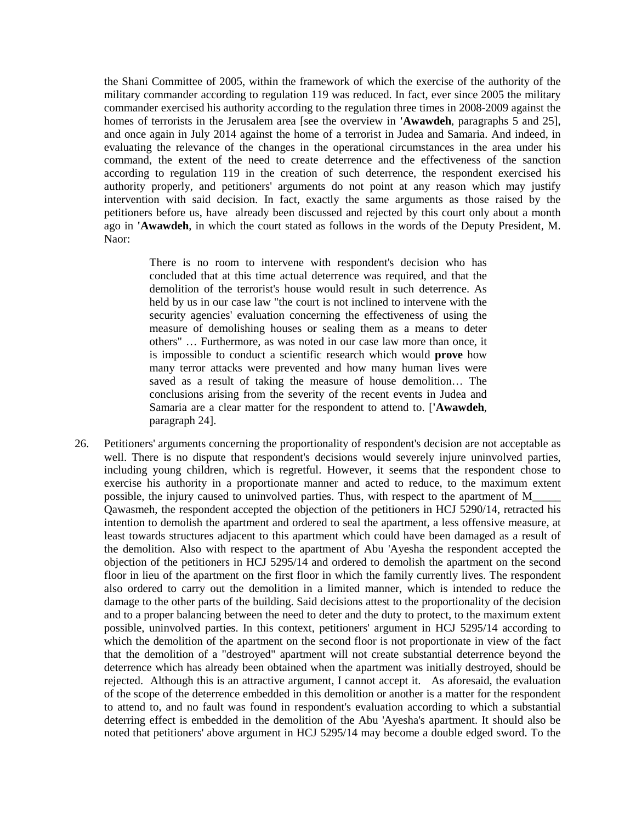the Shani Committee of 2005, within the framework of which the exercise of the authority of the military commander according to regulation 119 was reduced. In fact, ever since 2005 the military commander exercised his authority according to the regulation three times in 2008-2009 against the homes of terrorists in the Jerusalem area [see the overview in **'Awawdeh**, paragraphs 5 and 25], and once again in July 2014 against the home of a terrorist in Judea and Samaria. And indeed, in evaluating the relevance of the changes in the operational circumstances in the area under his command, the extent of the need to create deterrence and the effectiveness of the sanction according to regulation 119 in the creation of such deterrence, the respondent exercised his authority properly, and petitioners' arguments do not point at any reason which may justify intervention with said decision. In fact, exactly the same arguments as those raised by the petitioners before us, have already been discussed and rejected by this court only about a month ago in **'Awawdeh**, in which the court stated as follows in the words of the Deputy President, M. Naor:

There is no room to intervene with respondent's decision who has concluded that at this time actual deterrence was required, and that the demolition of the terrorist's house would result in such deterrence. As held by us in our case law "the court is not inclined to intervene with the security agencies' evaluation concerning the effectiveness of using the measure of demolishing houses or sealing them as a means to deter others" … Furthermore, as was noted in our case law more than once, it is impossible to conduct a scientific research which would **prove** how many terror attacks were prevented and how many human lives were saved as a result of taking the measure of house demolition… The conclusions arising from the severity of the recent events in Judea and Samaria are a clear matter for the respondent to attend to. [**'Awawdeh**, paragraph 24].

26. Petitioners' arguments concerning the proportionality of respondent's decision are not acceptable as well. There is no dispute that respondent's decisions would severely injure uninvolved parties, including young children, which is regretful. However, it seems that the respondent chose to exercise his authority in a proportionate manner and acted to reduce, to the maximum extent possible, the injury caused to uninvolved parties. Thus, with respect to the apartment of M\_\_\_\_\_ Qawasmeh, the respondent accepted the objection of the petitioners in HCJ 5290/14, retracted his intention to demolish the apartment and ordered to seal the apartment, a less offensive measure, at least towards structures adjacent to this apartment which could have been damaged as a result of the demolition. Also with respect to the apartment of Abu 'Ayesha the respondent accepted the objection of the petitioners in HCJ 5295/14 and ordered to demolish the apartment on the second floor in lieu of the apartment on the first floor in which the family currently lives. The respondent also ordered to carry out the demolition in a limited manner, which is intended to reduce the damage to the other parts of the building. Said decisions attest to the proportionality of the decision and to a proper balancing between the need to deter and the duty to protect, to the maximum extent possible, uninvolved parties. In this context, petitioners' argument in HCJ 5295/14 according to which the demolition of the apartment on the second floor is not proportionate in view of the fact that the demolition of a "destroyed" apartment will not create substantial deterrence beyond the deterrence which has already been obtained when the apartment was initially destroyed, should be rejected. Although this is an attractive argument, I cannot accept it. As aforesaid, the evaluation of the scope of the deterrence embedded in this demolition or another is a matter for the respondent to attend to, and no fault was found in respondent's evaluation according to which a substantial deterring effect is embedded in the demolition of the Abu 'Ayesha's apartment. It should also be noted that petitioners' above argument in HCJ 5295/14 may become a double edged sword. To the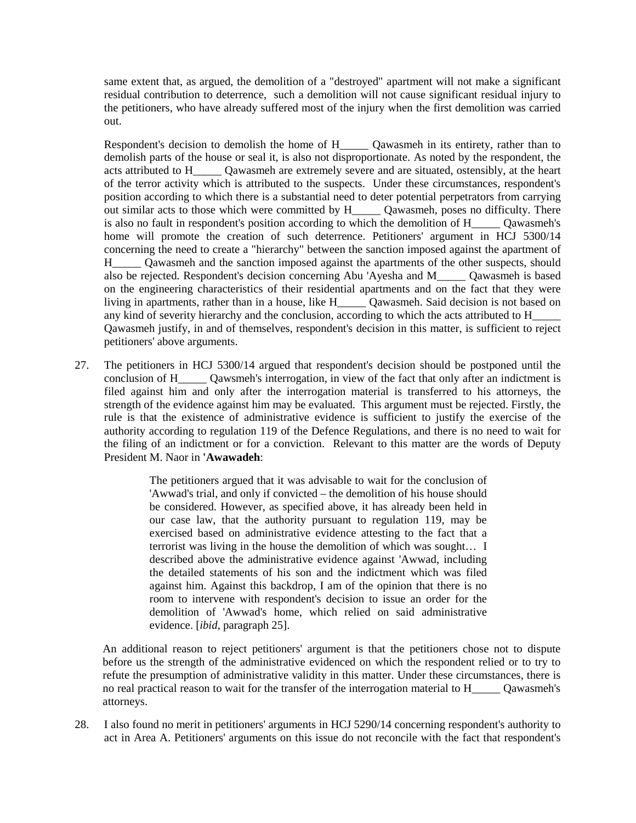same extent that, as argued, the demolition of a "destroyed" apartment will not make a significant residual contribution to deterrence, such a demolition will not cause significant residual injury to the petitioners, who have already suffered most of the injury when the first demolition was carried out.

Respondent's decision to demolish the home of H\_\_\_\_\_ Qawasmeh in its entirety, rather than to demolish parts of the house or seal it, is also not disproportionate. As noted by the respondent, the acts attributed to H\_\_\_\_\_ Qawasmeh are extremely severe and are situated, ostensibly, at the heart of the terror activity which is attributed to the suspects. Under these circumstances, respondent's position according to which there is a substantial need to deter potential perpetrators from carrying out similar acts to those which were committed by H\_\_\_\_\_ Qawasmeh, poses no difficulty. There is also no fault in respondent's position according to which the demolition of H\_\_\_\_\_ Qawasmeh's home will promote the creation of such deterrence. Petitioners' argument in HCJ 5300/14 concerning the need to create a "hierarchy" between the sanction imposed against the apartment of H\_\_\_\_\_ Qawasmeh and the sanction imposed against the apartments of the other suspects, should also be rejected. Respondent's decision concerning Abu 'Ayesha and M\_\_\_\_\_ Qawasmeh is based on the engineering characteristics of their residential apartments and on the fact that they were living in apartments, rather than in a house, like H\_\_\_\_\_ Qawasmeh. Said decision is not based on any kind of severity hierarchy and the conclusion, according to which the acts attributed to H\_\_\_\_\_ Qawasmeh justify, in and of themselves, respondent's decision in this matter, is sufficient to reject petitioners' above arguments.

27. The petitioners in HCJ 5300/14 argued that respondent's decision should be postponed until the conclusion of H \_\_\_\_ Qawsmeh's interrogation, in view of the fact that only after an indictment is filed against him and only after the interrogation material is transferred to his attorneys, the strength of the evidence against him may be evaluated. This argument must be rejected. Firstly, the rule is that the existence of administrative evidence is sufficient to justify the exercise of the authority according to regulation 119 of the Defence Regulations, and there is no need to wait for the filing of an indictment or for a conviction. Relevant to this matter are the words of Deputy President M. Naor in **'Awawadeh**:

> The petitioners argued that it was advisable to wait for the conclusion of 'Awwad's trial, and only if convicted – the demolition of his house should be considered. However, as specified above, it has already been held in our case law, that the authority pursuant to regulation 119, may be exercised based on administrative evidence attesting to the fact that a terrorist was living in the house the demolition of which was sought… I described above the administrative evidence against 'Awwad, including the detailed statements of his son and the indictment which was filed against him. Against this backdrop, I am of the opinion that there is no room to intervene with respondent's decision to issue an order for the demolition of 'Awwad's home, which relied on said administrative evidence. [*ibid*, paragraph 25].

 An additional reason to reject petitioners' argument is that the petitioners chose not to dispute before us the strength of the administrative evidenced on which the respondent relied or to try to refute the presumption of administrative validity in this matter. Under these circumstances, there is no real practical reason to wait for the transfer of the interrogation material to H\_\_\_\_\_ Qawasmeh's attorneys.

28. I also found no merit in petitioners' arguments in HCJ 5290/14 concerning respondent's authority to act in Area A. Petitioners' arguments on this issue do not reconcile with the fact that respondent's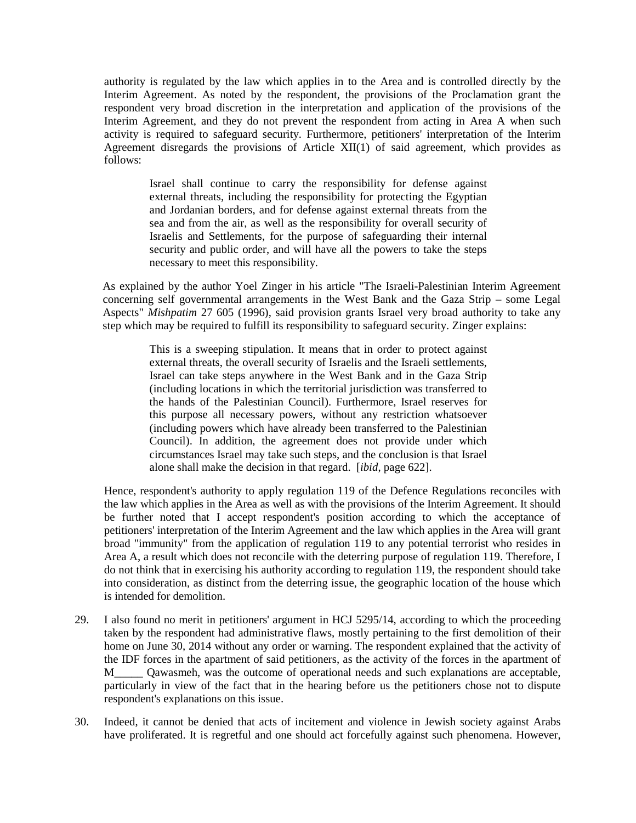authority is regulated by the law which applies in to the Area and is controlled directly by the Interim Agreement. As noted by the respondent, the provisions of the Proclamation grant the respondent very broad discretion in the interpretation and application of the provisions of the Interim Agreement, and they do not prevent the respondent from acting in Area A when such activity is required to safeguard security. Furthermore, petitioners' interpretation of the Interim Agreement disregards the provisions of Article XII(1) of said agreement, which provides as follows:

Israel shall continue to carry the responsibility for defense against external threats, including the responsibility for protecting the Egyptian and Jordanian borders, and for defense against external threats from the sea and from the air, as well as the responsibility for overall security of Israelis and Settlements, for the purpose of safeguarding their internal security and public order, and will have all the powers to take the steps necessary to meet this responsibility.

 As explained by the author Yoel Zinger in his article "The Israeli-Palestinian Interim Agreement concerning self governmental arrangements in the West Bank and the Gaza Strip – some Legal Aspects" *Mishpatim* 27 605 (1996), said provision grants Israel very broad authority to take any step which may be required to fulfill its responsibility to safeguard security. Zinger explains:

> This is a sweeping stipulation. It means that in order to protect against external threats, the overall security of Israelis and the Israeli settlements, Israel can take steps anywhere in the West Bank and in the Gaza Strip (including locations in which the territorial jurisdiction was transferred to the hands of the Palestinian Council). Furthermore, Israel reserves for this purpose all necessary powers, without any restriction whatsoever (including powers which have already been transferred to the Palestinian Council). In addition, the agreement does not provide under which circumstances Israel may take such steps, and the conclusion is that Israel alone shall make the decision in that regard. [*ibid*, page 622].

 Hence, respondent's authority to apply regulation 119 of the Defence Regulations reconciles with the law which applies in the Area as well as with the provisions of the Interim Agreement. It should be further noted that I accept respondent's position according to which the acceptance of petitioners' interpretation of the Interim Agreement and the law which applies in the Area will grant broad "immunity" from the application of regulation 119 to any potential terrorist who resides in Area A, a result which does not reconcile with the deterring purpose of regulation 119. Therefore, I do not think that in exercising his authority according to regulation 119, the respondent should take into consideration, as distinct from the deterring issue, the geographic location of the house which is intended for demolition.

- 29. I also found no merit in petitioners' argument in HCJ 5295/14, according to which the proceeding taken by the respondent had administrative flaws, mostly pertaining to the first demolition of their home on June 30, 2014 without any order or warning. The respondent explained that the activity of the IDF forces in the apartment of said petitioners, as the activity of the forces in the apartment of M\_\_\_\_\_ Qawasmeh, was the outcome of operational needs and such explanations are acceptable, particularly in view of the fact that in the hearing before us the petitioners chose not to dispute respondent's explanations on this issue.
- 30. Indeed, it cannot be denied that acts of incitement and violence in Jewish society against Arabs have proliferated. It is regretful and one should act forcefully against such phenomena. However,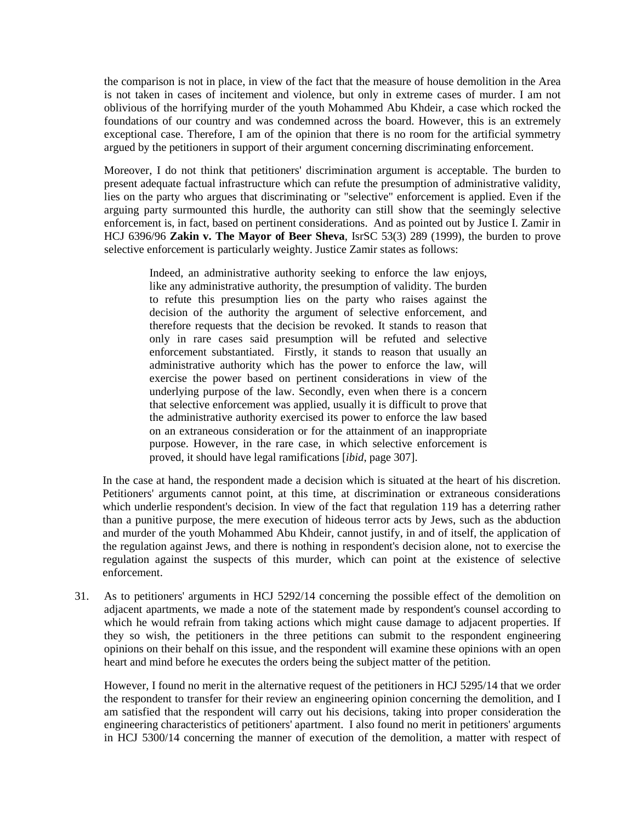the comparison is not in place, in view of the fact that the measure of house demolition in the Area is not taken in cases of incitement and violence, but only in extreme cases of murder. I am not oblivious of the horrifying murder of the youth Mohammed Abu Khdeir, a case which rocked the foundations of our country and was condemned across the board. However, this is an extremely exceptional case. Therefore, I am of the opinion that there is no room for the artificial symmetry argued by the petitioners in support of their argument concerning discriminating enforcement.

Moreover, I do not think that petitioners' discrimination argument is acceptable. The burden to present adequate factual infrastructure which can refute the presumption of administrative validity, lies on the party who argues that discriminating or "selective" enforcement is applied. Even if the arguing party surmounted this hurdle, the authority can still show that the seemingly selective enforcement is, in fact, based on pertinent considerations. And as pointed out by Justice I. Zamir in HCJ 6396/96 **Zakin v. The Mayor of Beer Sheva**, IsrSC 53(3) 289 (1999), the burden to prove selective enforcement is particularly weighty. Justice Zamir states as follows:

 Indeed, an administrative authority seeking to enforce the law enjoys, like any administrative authority, the presumption of validity. The burden to refute this presumption lies on the party who raises against the decision of the authority the argument of selective enforcement, and therefore requests that the decision be revoked. It stands to reason that only in rare cases said presumption will be refuted and selective enforcement substantiated. Firstly, it stands to reason that usually an administrative authority which has the power to enforce the law, will exercise the power based on pertinent considerations in view of the underlying purpose of the law. Secondly, even when there is a concern that selective enforcement was applied, usually it is difficult to prove that the administrative authority exercised its power to enforce the law based on an extraneous consideration or for the attainment of an inappropriate purpose. However, in the rare case, in which selective enforcement is proved, it should have legal ramifications [*ibid*, page 307].

 In the case at hand, the respondent made a decision which is situated at the heart of his discretion. Petitioners' arguments cannot point, at this time, at discrimination or extraneous considerations which underlie respondent's decision. In view of the fact that regulation 119 has a deterring rather than a punitive purpose, the mere execution of hideous terror acts by Jews, such as the abduction and murder of the youth Mohammed Abu Khdeir, cannot justify, in and of itself, the application of the regulation against Jews, and there is nothing in respondent's decision alone, not to exercise the regulation against the suspects of this murder, which can point at the existence of selective enforcement.

31. As to petitioners' arguments in HCJ 5292/14 concerning the possible effect of the demolition on adjacent apartments, we made a note of the statement made by respondent's counsel according to which he would refrain from taking actions which might cause damage to adjacent properties. If they so wish, the petitioners in the three petitions can submit to the respondent engineering opinions on their behalf on this issue, and the respondent will examine these opinions with an open heart and mind before he executes the orders being the subject matter of the petition.

However, I found no merit in the alternative request of the petitioners in HCJ 5295/14 that we order the respondent to transfer for their review an engineering opinion concerning the demolition, and I am satisfied that the respondent will carry out his decisions, taking into proper consideration the engineering characteristics of petitioners' apartment. I also found no merit in petitioners' arguments in HCJ 5300/14 concerning the manner of execution of the demolition, a matter with respect of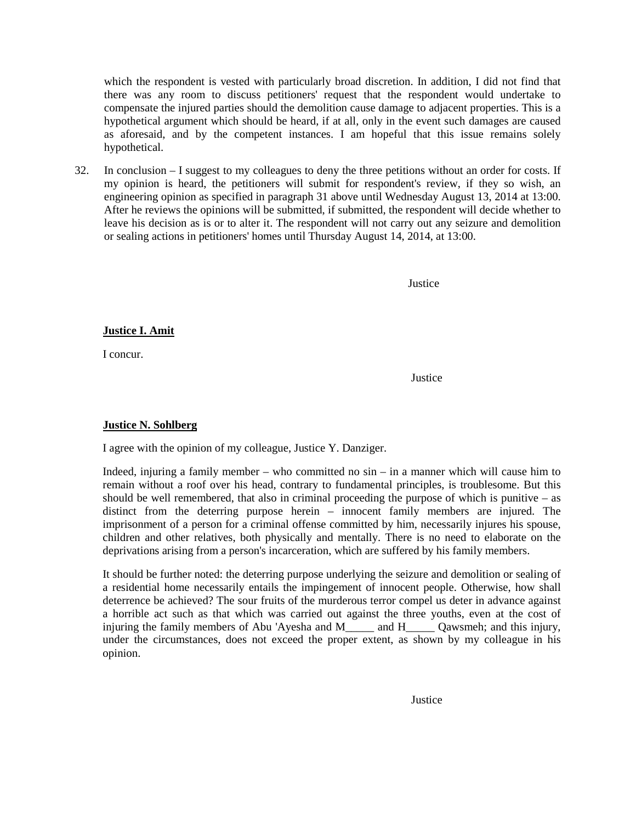which the respondent is vested with particularly broad discretion. In addition, I did not find that there was any room to discuss petitioners' request that the respondent would undertake to compensate the injured parties should the demolition cause damage to adjacent properties. This is a hypothetical argument which should be heard, if at all, only in the event such damages are caused as aforesaid, and by the competent instances. I am hopeful that this issue remains solely hypothetical.

32. In conclusion – I suggest to my colleagues to deny the three petitions without an order for costs. If my opinion is heard, the petitioners will submit for respondent's review, if they so wish, an engineering opinion as specified in paragraph 31 above until Wednesday August 13, 2014 at 13:00. After he reviews the opinions will be submitted, if submitted, the respondent will decide whether to leave his decision as is or to alter it. The respondent will not carry out any seizure and demolition or sealing actions in petitioners' homes until Thursday August 14, 2014, at 13:00.

Justice

**Justice I. Amit**

I concur.

*Justice* 

## **Justice N. Sohlberg**

I agree with the opinion of my colleague, Justice Y. Danziger.

 Indeed, injuring a family member – who committed no sin – in a manner which will cause him to remain without a roof over his head, contrary to fundamental principles, is troublesome. But this should be well remembered, that also in criminal proceeding the purpose of which is punitive  $-$  as distinct from the deterring purpose herein – innocent family members are injured. The imprisonment of a person for a criminal offense committed by him, necessarily injures his spouse, children and other relatives, both physically and mentally. There is no need to elaborate on the deprivations arising from a person's incarceration, which are suffered by his family members.

 It should be further noted: the deterring purpose underlying the seizure and demolition or sealing of a residential home necessarily entails the impingement of innocent people. Otherwise, how shall deterrence be achieved? The sour fruits of the murderous terror compel us deter in advance against a horrible act such as that which was carried out against the three youths, even at the cost of injuring the family members of Abu 'Ayesha and M\_\_\_\_\_ and H\_\_\_\_\_ Qawsmeh; and this injury, under the circumstances, does not exceed the proper extent, as shown by my colleague in his opinion.

**Justice**